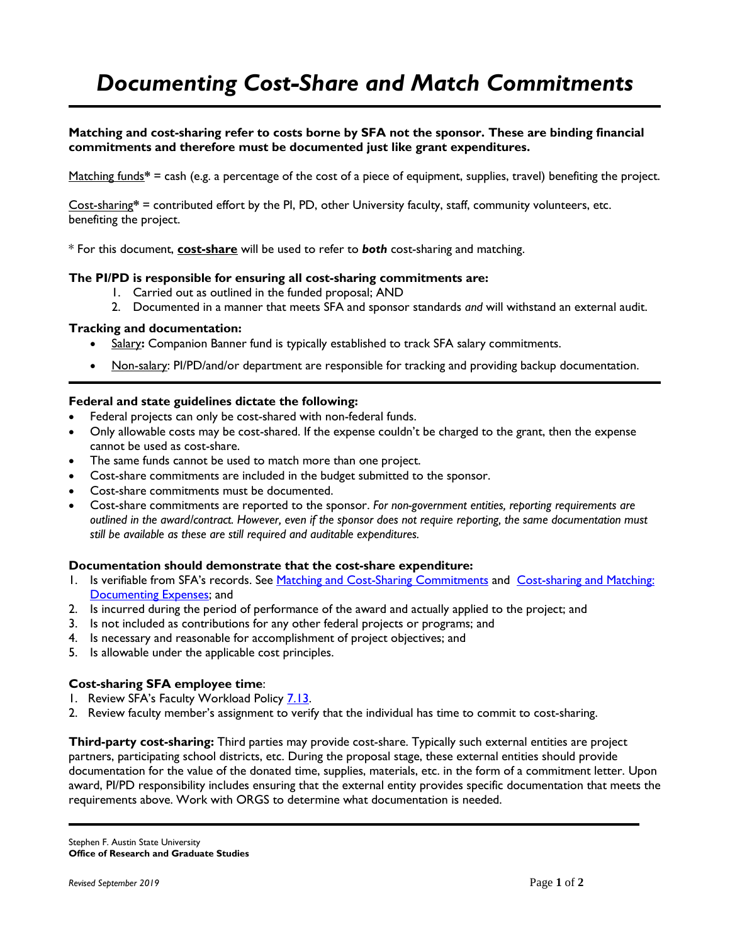# *Documenting Cost-Share and Match Commitments*

## **Matching and cost-sharing refer to costs borne by SFA not the sponsor. These are binding financial commitments and therefore must be documented just like grant expenditures.**

Matching funds**\*** = cash (e.g. a percentage of the cost of a piece of equipment, supplies, travel) benefiting the project.

Cost-sharing**\*** = contributed effort by the PI, PD, other University faculty, staff, community volunteers, etc. benefiting the project.

\* For this document, **cost-share** will be used to refer to *both* cost-sharing and matching.

## **The PI/PD is responsible for ensuring all cost-sharing commitments are:**

- 1. Carried out as outlined in the funded proposal; AND
- 2. Documented in a manner that meets SFA and sponsor standards *and* will withstand an external audit.

## **Tracking and documentation:**

- Salary: Companion Banner fund is typically established to track SFA salary commitments.
- Non-salary: PI/PD/and/or department are responsible for tracking and providing backup documentation.

## **Federal and state guidelines dictate the following:**

- Federal projects can only be cost-shared with non-federal funds.
- Only allowable costs may be cost-shared. If the expense couldn't be charged to the grant, then the expense cannot be used as cost-share.
- The same funds cannot be used to match more than one project.
- Cost-share commitments are included in the budget submitted to the sponsor.
- Cost-share commitments must be documented.
- Cost-share commitments are reported to the sponsor. *For non-government entities, reporting requirements are outlined in the award/contract. However, even if the sponsor does not require reporting, the same documentation must still be available as these are still required and auditable expenditures.*

#### **Documentation should demonstrate that the cost-share expenditure:**

- 1. Is verifiable from SFA's records. See [Matching and Cost-Sharing Commitments](http://www.sfasu.edu/orsp/tam_part3.html#matching) and Cost-sharing and Matching: [Documenting Expenses;](http://www.sfasu.edu/orsp/tam_part4.html#docmatch) and
- 2. Is incurred during the period of performance of the award and actually applied to the project; and
- 3. Is not included as contributions for any other federal projects or programs; and
- 4. Is necessary and reasonable for accomplishment of project objectives; and
- 5. Is allowable under the applicable cost principles.

## **Cost-sharing SFA employee time**:

- 1. Review SFA's Faculty Workload Policy [7.13.](http://www.sfasu.edu/policies/faculty-workload_7.13.pdf)
- 2. Review faculty member's assignment to verify that the individual has time to commit to cost-sharing.

**Third-party cost-sharing:** Third parties may provide cost-share. Typically such external entities are project partners, participating school districts, etc. During the proposal stage, these external entities should provide documentation for the value of the donated time, supplies, materials, etc. in the form of a commitment letter. Upon award, PI/PD responsibility includes ensuring that the external entity provides specific documentation that meets the requirements above. Work with ORGS to determine what documentation is needed.